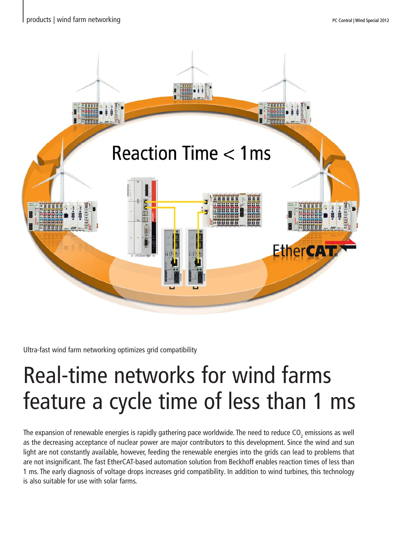

Ultra-fast wind farm networking optimizes grid compatibility

## feature a cycle time of less than 1 ms Real-time networks for wind farms

The expansion of renewable energies is rapidly gathering pace worldwide. The need to reduce CO<sub>2</sub> emissions as well as the decreasing acceptance of nuclear power are major contributors to this development. Since the wind and sun light are not constantly available, however, feeding the renewable energies into the grids can lead to problems that are not insignificant. The fast EtherCAT-based automation solution from Beckhoff enables reaction times of less than 1 ms. The early diagnosis of voltage drops increases grid compatibility. In addition to wind turbines, this technology is also suitable for use with solar farms.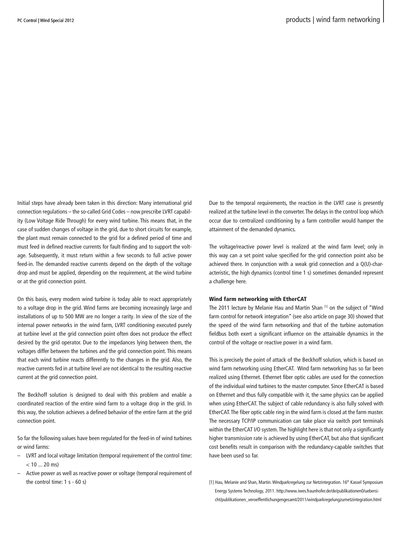Initial steps have already been taken in this direction: Many international grid connection regulations – the so-called Grid Codes – now prescribe LVRT capability (Low Voltage Ride Through) for every wind turbine. This means that, in the case of sudden changes of voltage in the grid, due to short circuits for example, the plant must remain connected to the grid for a defined period of time and must feed in defined reactive currents for fault-finding and to support the voltage. Subsequently, it must return within a few seconds to full active power feed-in. The demanded reactive currents depend on the depth of the voltage drop and must be applied, depending on the requirement, at the wind turbine or at the grid connection point.

On this basis, every modern wind turbine is today able to react appropriately to a voltage drop in the grid. Wind farms are becoming increasingly large and installations of up to 500 MW are no longer a rarity. In view of the size of the internal power networks in the wind farm, LVRT conditioning executed purely at turbine level at the grid connection point often does not produce the effect desired by the grid operator. Due to the impedances lying between them, the voltages differ between the turbines and the grid connection point. This means that each wind turbine reacts differently to the changes in the grid. Also, the reactive currents fed in at turbine level are not identical to the resulting reactive current at the grid connection point.

The Beckhoff solution is designed to deal with this problem and enable a coordinated reaction of the entire wind farm to a voltage drop in the grid. In this way, the solution achieves a defined behavior of the entire farm at the grid connection point.

So far the following values have been regulated for the feed-in of wind turbines or wind farms:

- LVRT and local voltage limitation (temporal requirement of the control time:  $< 10$  20 ms)
- Active power as well as reactive power or voltage (temporal requirement of the control time: 1 s - 60 s) **[1]** Hau, Melanie and Shan, Martin. Windparkregelung zur Netzintegration. 16<sup>th</sup> Kassel Symposium

Due to the temporal requirements, the reaction in the LVRT case is presently realized at the turbine level in the converter. The delays in the control loop which occur due to centralized conditioning by a farm controller would hamper the attainment of the demanded dynamics.

The voltage/reactive power level is realized at the wind farm level; only in this way can a set point value specified for the grid connection point also be achieved there. In conjunction with a weak grid connection and a Q(U)-characteristic, the high dynamics (control time 1 s) sometimes demanded represent a challenge here.

## Wind farm networking with EtherCAT

The 2011 lecture by Melanie Hau and Martin Shan [1] on the subject of "Wind farm control for network integration" (see also article on page 30) showed that the speed of the wind farm networking and that of the turbine automation fieldbus both exert a significant influence on the attainable dynamics in the control of the voltage or reactive power in a wind farm.

This is precisely the point of attack of the Beckhoff solution, which is based on wind farm networking using EtherCAT. Wind farm networking has so far been realized using Ethernet. Ethernet fiber optic cables are used for the connection of the individual wind turbines to the master computer. Since EtherCAT is based on Ethernet and thus fully compatible with it, the same physics can be applied when using EtherCAT. The subject of cable redundancy is also fully solved with EtherCAT. The fiber optic cable ring in the wind farm is closed at the farm master. The necessary TCP/IP communication can take place via switch port terminals within the EtherCAT I/O system. The highlight here is that not only a significantly higher transmission rate is achieved by using EtherCAT, but also that significant cost benefits result in comparison with the redundancy-capable switches that have been used so far.

Energy Systems Technology, 2011. http://www.iwes.fraunhofer.de/de/publikationen0/uebersicht/publikationen\_veroeffentlichungengesamt/2011/windparkregelungzurnetzintegration.html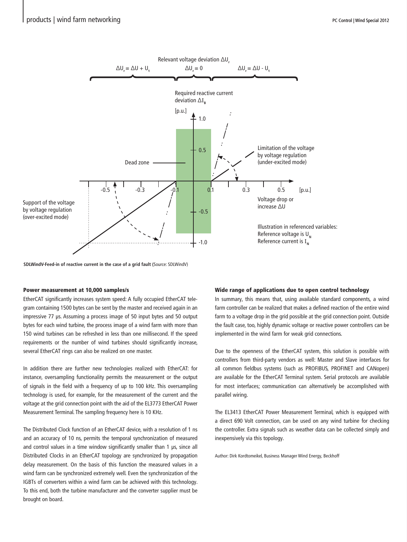

**SDLWindV-Feed-in of reactive current in the case of a grid fault (**Source: SDLWindV)

## Power measurement at 10,000 samples/s

EtherCAT significantly increases system speed: A fully occupied EtherCAT telegram containing 1500 bytes can be sent by the master and received again in an impressive 77 μs. Assuming a process image of 50 input bytes and 50 output bytes for each wind turbine, the process image of a wind farm with more than 150 wind turbines can be refreshed in less than one millisecond. If the speed requirements or the number of wind turbines should significantly increase, several EtherCAT rings can also be realized on one master.

In addition there are further new technologies realized with EtherCAT: for instance, oversampling functionality permits the measurement or the output of signals in the field with a frequency of up to 100 kHz. This oversampling technology is used, for example, for the measurement of the current and the voltage at the grid connection point with the aid of the EL3773 EtherCAT Power Measurement Terminal. The sampling frequency here is 10 KHz.

The Distributed Clock function of an EtherCAT device, with a resolution of 1 ns and an accuracy of 10 ns, permits the temporal synchronization of measured and control values in a time window significantly smaller than 1 μs, since all Distributed Clocks in an EtherCAT topology are synchronized by propagation delay measurement. On the basis of this function the measured values in a wind farm can be synchronized extremely well. Even the synchronization of the IGBTs of converters within a wind farm can be achieved with this technology. To this end, both the turbine manufacturer and the converter supplier must be brought on board.

## Wide range of applications due to open control technology

In summary, this means that, using available standard components, a wind farm controller can be realized that makes a defined reaction of the entire wind farm to a voltage drop in the grid possible at the grid connection point. Outside the fault case, too, highly dynamic voltage or reactive power controllers can be implemented in the wind farm for weak grid connections.

Due to the openness of the EtherCAT system, this solution is possible with controllers from third-party vendors as well: Master and Slave interfaces for all common fieldbus systems (such as PROFIBUS, PROFINET and CANopen) are available for the EtherCAT Terminal system. Serial protocols are available for most interfaces; communication can alternatively be accomplished with parallel wiring.

The EL3413 EtherCAT Power Measurement Terminal, which is equipped with a direct 690 Volt connection, can be used on any wind turbine for checking the controller. Extra signals such as weather data can be collected simply and inexpensively via this topology.

Author: Dirk Kordtomeikel, Business Manager Wind Energy, Beckhoff